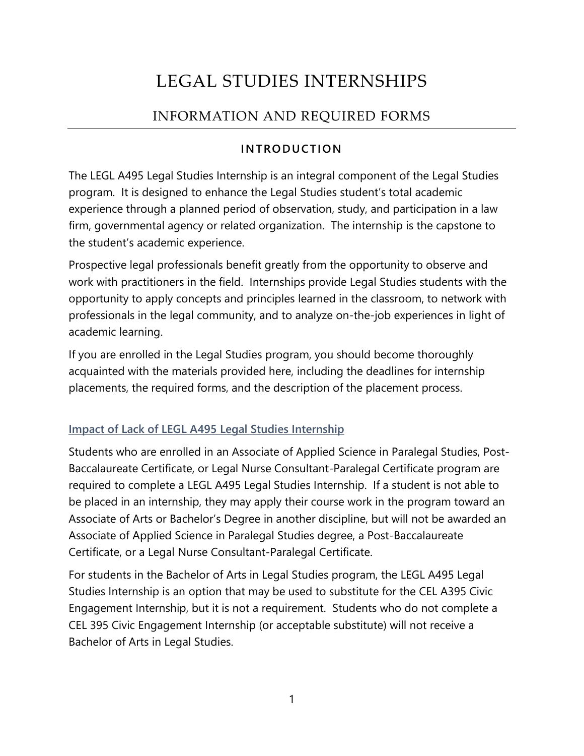# LEGAL STUDIES INTERNSHIPS

# INFORMATION AND REQUIRED FORMS

# **INTRODUCTION**

The LEGL A495 Legal Studies Internship is an integral component of the Legal Studies program. It is designed to enhance the Legal Studies student's total academic experience through a planned period of observation, study, and participation in a law firm, governmental agency or related organization. The internship is the capstone to the student's academic experience.

Prospective legal professionals benefit greatly from the opportunity to observe and work with practitioners in the field. Internships provide Legal Studies students with the opportunity to apply concepts and principles learned in the classroom, to network with professionals in the legal community, and to analyze on-the-job experiences in light of academic learning.

If you are enrolled in the Legal Studies program, you should become thoroughly acquainted with the materials provided here, including the deadlines for internship placements, the required forms, and the description of the placement process.

# **Impact of Lack of LEGL A495 Legal Studies Internship**

Students who are enrolled in an Associate of Applied Science in Paralegal Studies, Post-Baccalaureate Certificate, or Legal Nurse Consultant-Paralegal Certificate program are required to complete a LEGL A495 Legal Studies Internship. If a student is not able to be placed in an internship, they may apply their course work in the program toward an Associate of Arts or Bachelor's Degree in another discipline, but will not be awarded an Associate of Applied Science in Paralegal Studies degree, a Post-Baccalaureate Certificate, or a Legal Nurse Consultant-Paralegal Certificate.

For students in the Bachelor of Arts in Legal Studies program, the LEGL A495 Legal Studies Internship is an option that may be used to substitute for the CEL A395 Civic Engagement Internship, but it is not a requirement. Students who do not complete a CEL 395 Civic Engagement Internship (or acceptable substitute) will not receive a Bachelor of Arts in Legal Studies.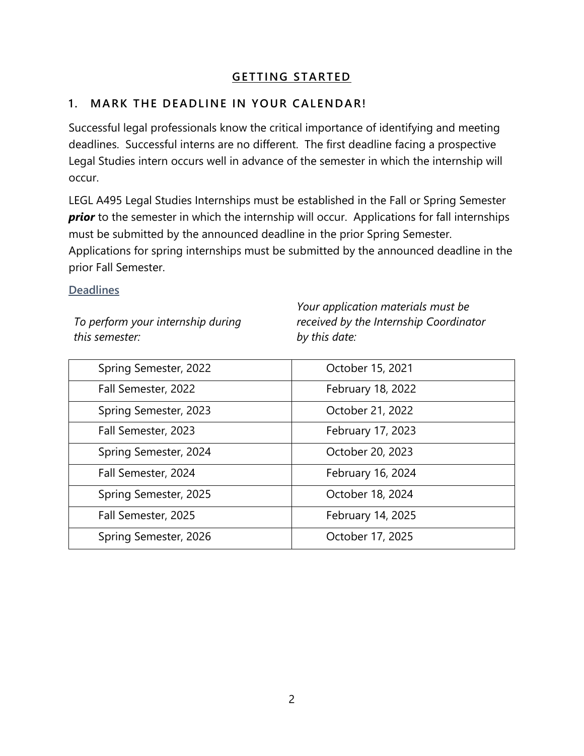# **GETTING STARTED**

# **1. MARK THE DEADLINE IN YOUR CALENDAR!**

Successful legal professionals know the critical importance of identifying and meeting deadlines. Successful interns are no different. The first deadline facing a prospective Legal Studies intern occurs well in advance of the semester in which the internship will occur.

LEGL A495 Legal Studies Internships must be established in the Fall or Spring Semester **prior** to the semester in which the internship will occur. Applications for fall internships must be submitted by the announced deadline in the prior Spring Semester. Applications for spring internships must be submitted by the announced deadline in the prior Fall Semester.

#### **Deadlines**

*To perform your internship during this semester:*

*Your application materials must be received by the Internship Coordinator by this date:*

| Spring Semester, 2022 | October 15, 2021  |
|-----------------------|-------------------|
| Fall Semester, 2022   | February 18, 2022 |
| Spring Semester, 2023 | October 21, 2022  |
| Fall Semester, 2023   | February 17, 2023 |
| Spring Semester, 2024 | October 20, 2023  |
| Fall Semester, 2024   | February 16, 2024 |
| Spring Semester, 2025 | October 18, 2024  |
| Fall Semester, 2025   | February 14, 2025 |
| Spring Semester, 2026 | October 17, 2025  |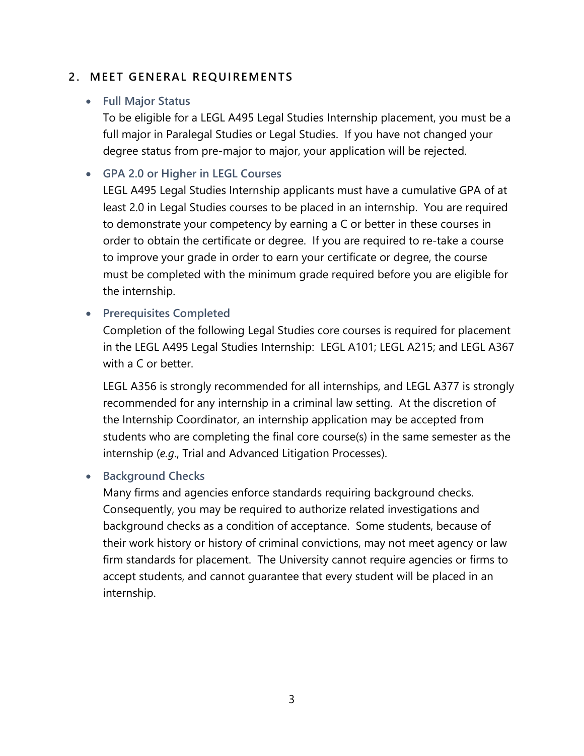## **2. MEET GENERAL REQUIREMENTS**

### • **Full Major Status**

To be eligible for a LEGL A495 Legal Studies Internship placement, you must be a full major in Paralegal Studies or Legal Studies. If you have not changed your degree status from pre-major to major, your application will be rejected.

## • **GPA 2.0 or Higher in LEGL Courses**

LEGL A495 Legal Studies Internship applicants must have a cumulative GPA of at least 2.0 in Legal Studies courses to be placed in an internship. You are required to demonstrate your competency by earning a C or better in these courses in order to obtain the certificate or degree. If you are required to re-take a course to improve your grade in order to earn your certificate or degree, the course must be completed with the minimum grade required before you are eligible for the internship.

## • **Prerequisites Completed**

Completion of the following Legal Studies core courses is required for placement in the LEGL A495 Legal Studies Internship: LEGL A101; LEGL A215; and LEGL A367 with a C or better.

LEGL A356 is strongly recommended for all internships, and LEGL A377 is strongly recommended for any internship in a criminal law setting. At the discretion of the Internship Coordinator, an internship application may be accepted from students who are completing the final core course(s) in the same semester as the internship (*e.g*., Trial and Advanced Litigation Processes).

#### • **Background Checks**

Many firms and agencies enforce standards requiring background checks. Consequently, you may be required to authorize related investigations and background checks as a condition of acceptance. Some students, because of their work history or history of criminal convictions, may not meet agency or law firm standards for placement. The University cannot require agencies or firms to accept students, and cannot guarantee that every student will be placed in an internship.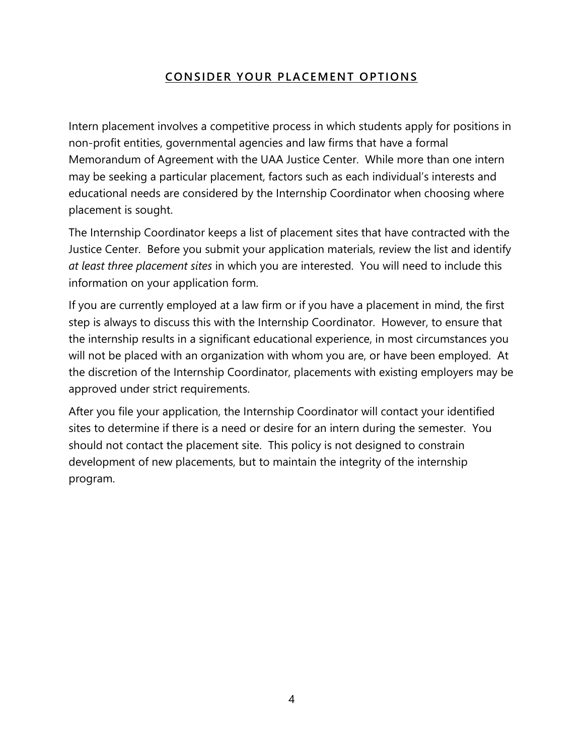# **CONSIDER YOUR PLACEMENT OPTIONS**

Intern placement involves a competitive process in which students apply for positions in non-profit entities, governmental agencies and law firms that have a formal Memorandum of Agreement with the UAA Justice Center. While more than one intern may be seeking a particular placement, factors such as each individual's interests and educational needs are considered by the Internship Coordinator when choosing where placement is sought.

The Internship Coordinator keeps a list of placement sites that have contracted with the Justice Center. Before you submit your application materials, review the list and identify *at least three placement sites* in which you are interested. You will need to include this information on your application form.

If you are currently employed at a law firm or if you have a placement in mind, the first step is always to discuss this with the Internship Coordinator. However, to ensure that the internship results in a significant educational experience, in most circumstances you will not be placed with an organization with whom you are, or have been employed. At the discretion of the Internship Coordinator, placements with existing employers may be approved under strict requirements.

After you file your application, the Internship Coordinator will contact your identified sites to determine if there is a need or desire for an intern during the semester. You should not contact the placement site. This policy is not designed to constrain development of new placements, but to maintain the integrity of the internship program.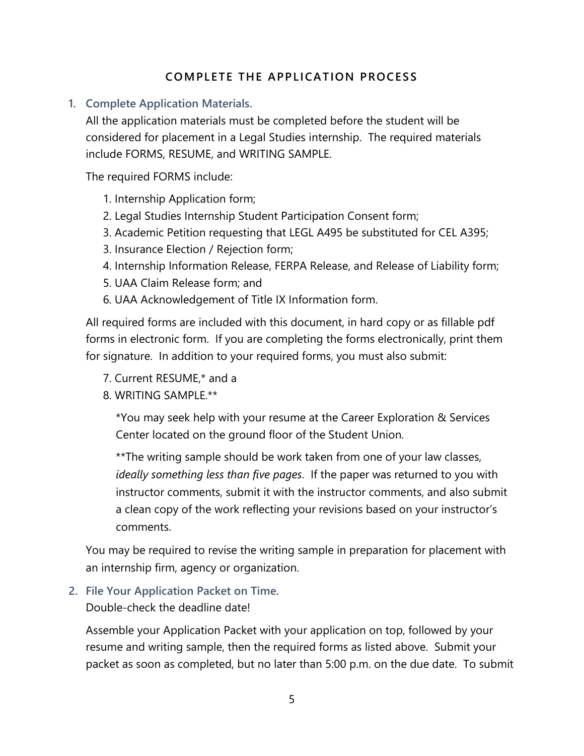# **COMPLETE THE APPLICATION PROCESS**

#### **1. Complete Application Materials.**

All the application materials must be completed before the student will be considered for placement in a Legal Studies internship. The required materials include FORMS, RESUME, and WRITING SAMPLE.

The required FORMS include:

- 1. Internship Application form;
- 2. Legal Studies Internship Student Participation Consent form;
- 3. Academic Petition requesting that LEGL A495 be substituted for CEL A395;
- 3. Insurance Election / Rejection form;
- 4. Internship Information Release, FERPA Release, and Release of Liability form;
- 5. UAA Claim Release form; and
- 6. UAA Acknowledgement of Title IX Information form.

All required forms are included with this document, in hard copy or as fillable pdf forms in electronic form. If you are completing the forms electronically, print them for signature. In addition to your required forms, you must also submit:

- 7. Current RESUME,\* and a
- 8. WRITING SAMPLE.\*\*

\*You may seek help with your resume at the Career Exploration & Services Center located on the ground floor of the Student Union.

\*\*The writing sample should be work taken from one of your law classes, *ideally something less than five pages*. If the paper was returned to you with instructor comments, submit it with the instructor comments, and also submit a clean copy of the work reflecting your revisions based on your instructor's comments.

You may be required to revise the writing sample in preparation for placement with an internship firm, agency or organization.

**2. File Your Application Packet on Time.**

Double-check the deadline date!

Assemble your Application Packet with your application on top, followed by your resume and writing sample, then the required forms as listed above. Submit your packet as soon as completed, but no later than 5:00 p.m. on the due date. To submit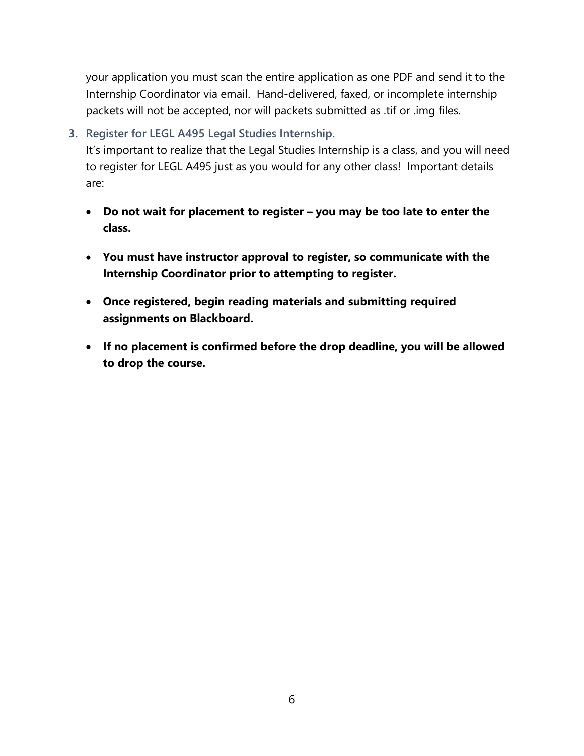your application you must scan the entire application as one PDF and send it to the Internship Coordinator via email. Hand-delivered, faxed, or incomplete internship packets will not be accepted, nor will packets submitted as .tif or .img files.

# **3. Register for LEGL A495 Legal Studies Internship.**

It's important to realize that the Legal Studies Internship is a class, and you will need to register for LEGL A495 just as you would for any other class! Important details are:

- **Do not wait for placement to register – you may be too late to enter the class.**
- **You must have instructor approval to register, so communicate with the Internship Coordinator prior to attempting to register.**
- **Once registered, begin reading materials and submitting required assignments on Blackboard.**
- **If no placement is confirmed before the drop deadline, you will be allowed to drop the course.**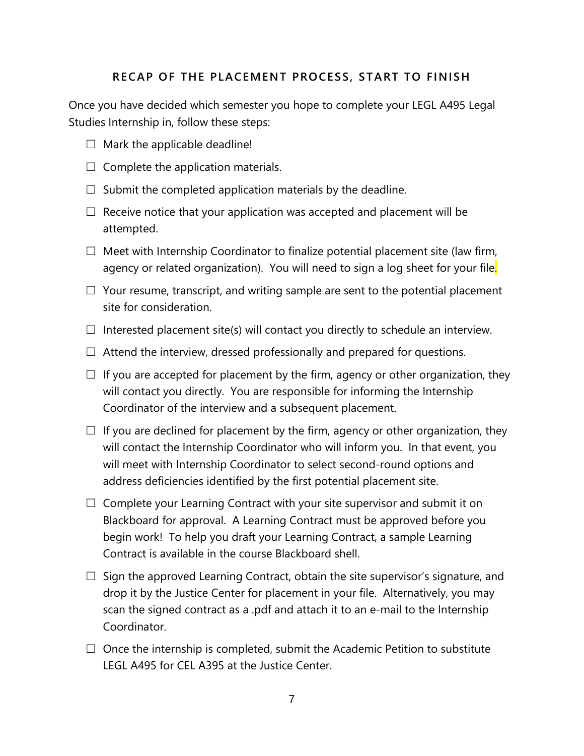#### **RECAP OF THE PLACEMENT PROCESS, START TO FINISH**

Once you have decided which semester you hope to complete your LEGL A495 Legal Studies Internship in, follow these steps:

- $\Box$  Mark the applicable deadline!
- $\Box$  Complete the application materials.
- $\Box$  Submit the completed application materials by the deadline.
- $\Box$  Receive notice that your application was accepted and placement will be attempted.
- $\Box$  Meet with Internship Coordinator to finalize potential placement site (law firm, agency or related organization). You will need to sign a log sheet for your file.
- $\Box$  Your resume, transcript, and writing sample are sent to the potential placement site for consideration.
- $\Box$  Interested placement site(s) will contact you directly to schedule an interview.
- $\Box$  Attend the interview, dressed professionally and prepared for questions.
- $\Box$  If you are accepted for placement by the firm, agency or other organization, they will contact you directly. You are responsible for informing the Internship Coordinator of the interview and a subsequent placement.
- $\Box$  If you are declined for placement by the firm, agency or other organization, they will contact the Internship Coordinator who will inform you. In that event, you will meet with Internship Coordinator to select second-round options and address deficiencies identified by the first potential placement site.
- $\Box$  Complete your Learning Contract with your site supervisor and submit it on Blackboard for approval. A Learning Contract must be approved before you begin work! To help you draft your Learning Contract, a sample Learning Contract is available in the course Blackboard shell.
- $\Box$  Sign the approved Learning Contract, obtain the site supervisor's signature, and drop it by the Justice Center for placement in your file. Alternatively, you may scan the signed contract as a .pdf and attach it to an e-mail to the Internship Coordinator.
- $\Box$  Once the internship is completed, submit the Academic Petition to substitute LEGL A495 for CEL A395 at the Justice Center.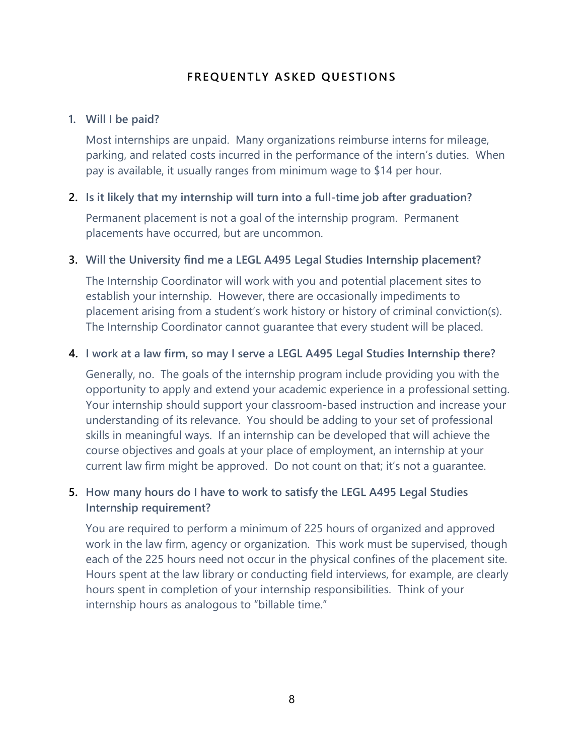## **FREQUENTLY ASKED QUESTIONS**

#### **1. Will I be paid?**

Most internships are unpaid. Many organizations reimburse interns for mileage, parking, and related costs incurred in the performance of the intern's duties. When pay is available, it usually ranges from minimum wage to \$14 per hour.

#### **2. Is it likely that my internship will turn into a full-time job after graduation?**

Permanent placement is not a goal of the internship program. Permanent placements have occurred, but are uncommon.

#### **3. Will the University find me a LEGL A495 Legal Studies Internship placement?**

The Internship Coordinator will work with you and potential placement sites to establish your internship. However, there are occasionally impediments to placement arising from a student's work history or history of criminal conviction(s). The Internship Coordinator cannot guarantee that every student will be placed.

#### **4. I work at a law firm, so may I serve a LEGL A495 Legal Studies Internship there?**

Generally, no. The goals of the internship program include providing you with the opportunity to apply and extend your academic experience in a professional setting. Your internship should support your classroom-based instruction and increase your understanding of its relevance. You should be adding to your set of professional skills in meaningful ways. If an internship can be developed that will achieve the course objectives and goals at your place of employment, an internship at your current law firm might be approved. Do not count on that; it's not a guarantee.

# **5. How many hours do I have to work to satisfy the LEGL A495 Legal Studies Internship requirement?**

You are required to perform a minimum of 225 hours of organized and approved work in the law firm, agency or organization. This work must be supervised, though each of the 225 hours need not occur in the physical confines of the placement site. Hours spent at the law library or conducting field interviews, for example, are clearly hours spent in completion of your internship responsibilities. Think of your internship hours as analogous to "billable time."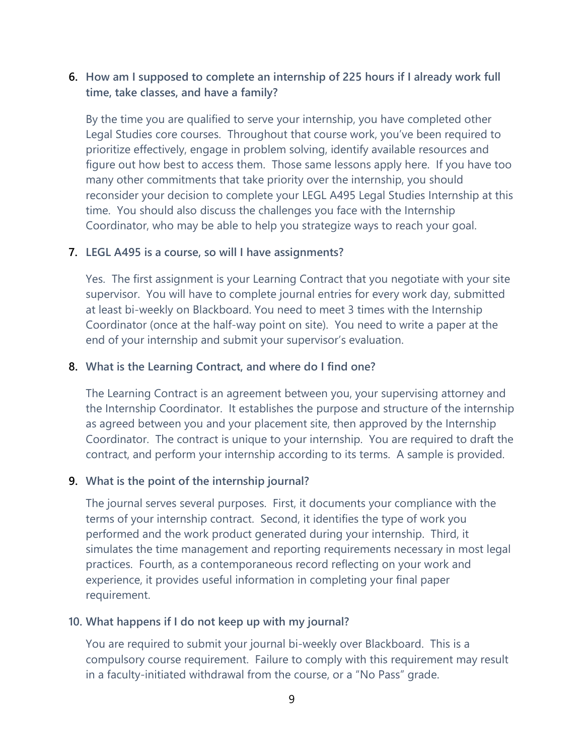## **6. How am I supposed to complete an internship of 225 hours if I already work full time, take classes, and have a family?**

By the time you are qualified to serve your internship, you have completed other Legal Studies core courses. Throughout that course work, you've been required to prioritize effectively, engage in problem solving, identify available resources and figure out how best to access them. Those same lessons apply here. If you have too many other commitments that take priority over the internship, you should reconsider your decision to complete your LEGL A495 Legal Studies Internship at this time. You should also discuss the challenges you face with the Internship Coordinator, who may be able to help you strategize ways to reach your goal.

#### **7. LEGL A495 is a course, so will I have assignments?**

Yes. The first assignment is your Learning Contract that you negotiate with your site supervisor. You will have to complete journal entries for every work day, submitted at least bi-weekly on Blackboard. You need to meet 3 times with the Internship Coordinator (once at the half-way point on site). You need to write a paper at the end of your internship and submit your supervisor's evaluation.

#### **8. What is the Learning Contract, and where do I find one?**

The Learning Contract is an agreement between you, your supervising attorney and the Internship Coordinator. It establishes the purpose and structure of the internship as agreed between you and your placement site, then approved by the Internship Coordinator. The contract is unique to your internship. You are required to draft the contract, and perform your internship according to its terms. A sample is provided.

#### **9. What is the point of the internship journal?**

The journal serves several purposes. First, it documents your compliance with the terms of your internship contract. Second, it identifies the type of work you performed and the work product generated during your internship. Third, it simulates the time management and reporting requirements necessary in most legal practices. Fourth, as a contemporaneous record reflecting on your work and experience, it provides useful information in completing your final paper requirement.

#### **10. What happens if I do not keep up with my journal?**

You are required to submit your journal bi-weekly over Blackboard. This is a compulsory course requirement. Failure to comply with this requirement may result in a faculty-initiated withdrawal from the course, or a "No Pass" grade.